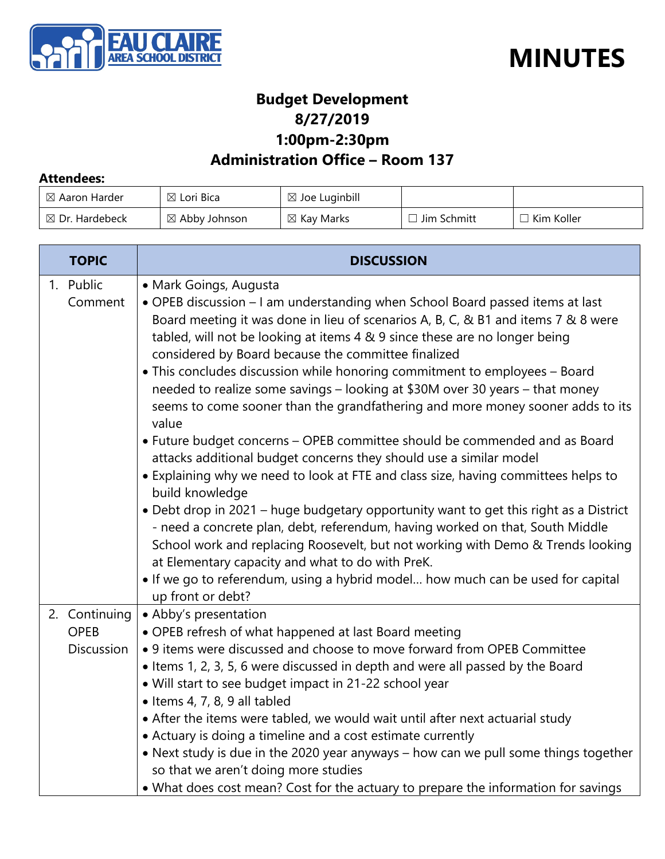



#### **Budget Development 8/27/2019 1:00pm-2:30pm**

#### **Administration Office – Room 137**

#### **Attendees:**

| $\boxtimes$ Aaron Harder  | $\boxtimes$ Lori Bica | $\boxtimes$ Joe Luginbill |               |            |
|---------------------------|-----------------------|---------------------------|---------------|------------|
| $\boxtimes$ Dr. Hardebeck | ⊠ Abby Johnson        | $\boxtimes$ Kay Marks     | ] Jim Schmitt | Kim Koller |

| <b>TOPIC</b>                                      | <b>DISCUSSION</b>                                                                                                                                                                                                                                                                                                                                                                                                                                                                                                                                                                                                                                                                                                                                                                                                                                                                                                                                                                                                                                                                                                                                                                                                                                                                |
|---------------------------------------------------|----------------------------------------------------------------------------------------------------------------------------------------------------------------------------------------------------------------------------------------------------------------------------------------------------------------------------------------------------------------------------------------------------------------------------------------------------------------------------------------------------------------------------------------------------------------------------------------------------------------------------------------------------------------------------------------------------------------------------------------------------------------------------------------------------------------------------------------------------------------------------------------------------------------------------------------------------------------------------------------------------------------------------------------------------------------------------------------------------------------------------------------------------------------------------------------------------------------------------------------------------------------------------------|
| 1. Public<br>Comment                              | • Mark Goings, Augusta<br>• OPEB discussion - I am understanding when School Board passed items at last<br>Board meeting it was done in lieu of scenarios A, B, C, & B1 and items 7 & 8 were<br>tabled, will not be looking at items 4 & 9 since these are no longer being<br>considered by Board because the committee finalized<br>• This concludes discussion while honoring commitment to employees - Board<br>needed to realize some savings - looking at \$30M over 30 years - that money<br>seems to come sooner than the grandfathering and more money sooner adds to its<br>value<br>• Future budget concerns - OPEB committee should be commended and as Board<br>attacks additional budget concerns they should use a similar model<br>• Explaining why we need to look at FTE and class size, having committees helps to<br>build knowledge<br>• Debt drop in 2021 – huge budgetary opportunity want to get this right as a District<br>- need a concrete plan, debt, referendum, having worked on that, South Middle<br>School work and replacing Roosevelt, but not working with Demo & Trends looking<br>at Elementary capacity and what to do with PreK.<br>. If we go to referendum, using a hybrid model how much can be used for capital<br>up front or debt? |
| 2. Continuing<br><b>OPEB</b><br><b>Discussion</b> | • Abby's presentation<br>• OPEB refresh of what happened at last Board meeting<br>• 9 items were discussed and choose to move forward from OPEB Committee<br>• Items 1, 2, 3, 5, 6 were discussed in depth and were all passed by the Board<br>• Will start to see budget impact in 21-22 school year<br>$\bullet$ Items 4, 7, 8, 9 all tabled<br>• After the items were tabled, we would wait until after next actuarial study<br>• Actuary is doing a timeline and a cost estimate currently<br>• Next study is due in the 2020 year anyways – how can we pull some things together<br>so that we aren't doing more studies<br>• What does cost mean? Cost for the actuary to prepare the information for savings                                                                                                                                                                                                                                                                                                                                                                                                                                                                                                                                                              |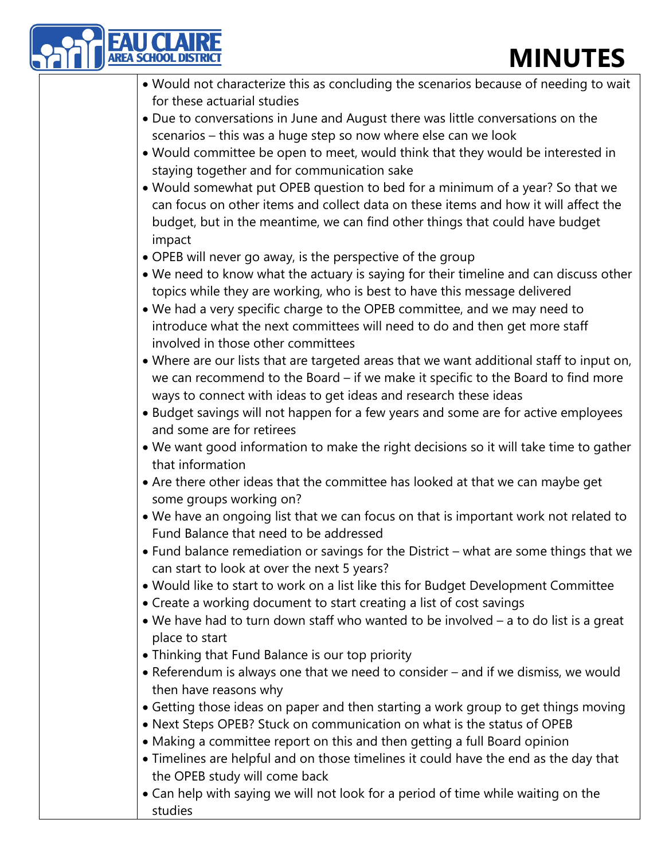| <b>MINUTES</b>                                                                                                                                                      |
|---------------------------------------------------------------------------------------------------------------------------------------------------------------------|
| . Would not characterize this as concluding the scenarios because of needing to wait                                                                                |
| for these actuarial studies                                                                                                                                         |
| • Due to conversations in June and August there was little conversations on the                                                                                     |
| scenarios - this was a huge step so now where else can we look                                                                                                      |
| . Would committee be open to meet, would think that they would be interested in                                                                                     |
| staying together and for communication sake                                                                                                                         |
| . Would somewhat put OPEB question to bed for a minimum of a year? So that we                                                                                       |
| can focus on other items and collect data on these items and how it will affect the<br>budget, but in the meantime, we can find other things that could have budget |
| impact                                                                                                                                                              |
| • OPEB will never go away, is the perspective of the group                                                                                                          |
| . We need to know what the actuary is saying for their timeline and can discuss other<br>topics while they are working, who is best to have this message delivered  |
| . We had a very specific charge to the OPEB committee, and we may need to                                                                                           |
| introduce what the next committees will need to do and then get more staff<br>involved in those other committees                                                    |
| . Where are our lists that are targeted areas that we want additional staff to input on,                                                                            |
| we can recommend to the Board - if we make it specific to the Board to find more<br>ways to connect with ideas to get ideas and research these ideas                |
| • Budget savings will not happen for a few years and some are for active employees<br>and some are for retirees                                                     |
| . We want good information to make the right decisions so it will take time to gather                                                                               |
| that information                                                                                                                                                    |
| • Are there other ideas that the committee has looked at that we can maybe get<br>some groups working on?                                                           |
| . We have an ongoing list that we can focus on that is important work not related to<br>Fund Balance that need to be addressed                                      |
| • Fund balance remediation or savings for the District - what are some things that we<br>can start to look at over the next 5 years?                                |
| . Would like to start to work on a list like this for Budget Development Committee                                                                                  |
| • Create a working document to start creating a list of cost savings                                                                                                |
| • We have had to turn down staff who wanted to be involved - a to do list is a great                                                                                |
| place to start                                                                                                                                                      |
| • Thinking that Fund Balance is our top priority                                                                                                                    |
| • Referendum is always one that we need to consider - and if we dismiss, we would<br>then have reasons why                                                          |
| • Getting those ideas on paper and then starting a work group to get things moving                                                                                  |
| • Next Steps OPEB? Stuck on communication on what is the status of OPEB                                                                                             |
| • Making a committee report on this and then getting a full Board opinion                                                                                           |
| • Timelines are helpful and on those timelines it could have the end as the day that                                                                                |
| the OPEB study will come back                                                                                                                                       |
| • Can help with saying we will not look for a period of time while waiting on the                                                                                   |
| studies                                                                                                                                                             |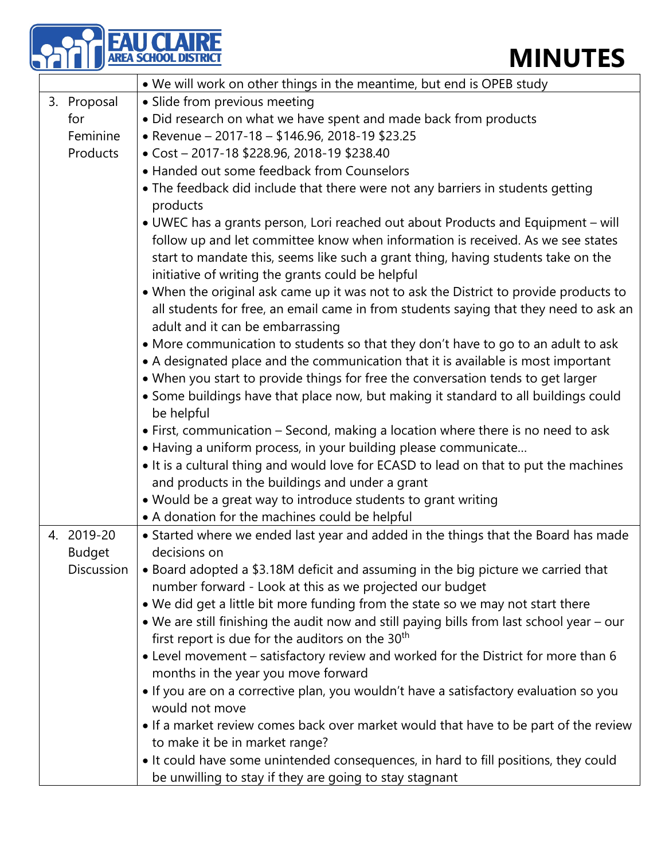|                                | <b>MINUTES</b>                                                                                                                                                                                                                                                                                                                                                  |
|--------------------------------|-----------------------------------------------------------------------------------------------------------------------------------------------------------------------------------------------------------------------------------------------------------------------------------------------------------------------------------------------------------------|
|                                | • We will work on other things in the meantime, but end is OPEB study                                                                                                                                                                                                                                                                                           |
| 3. Proposal<br>for<br>Feminine | · Slide from previous meeting<br>• Did research on what we have spent and made back from products<br>• Revenue - 2017-18 - \$146.96, 2018-19 \$23.25                                                                                                                                                                                                            |
| Products                       | • Cost - 2017-18 \$228.96, 2018-19 \$238.40                                                                                                                                                                                                                                                                                                                     |
|                                | • Handed out some feedback from Counselors<br>• The feedback did include that there were not any barriers in students getting<br>products                                                                                                                                                                                                                       |
|                                | • UWEC has a grants person, Lori reached out about Products and Equipment - will<br>follow up and let committee know when information is received. As we see states<br>start to mandate this, seems like such a grant thing, having students take on the<br>initiative of writing the grants could be helpful                                                   |
|                                | . When the original ask came up it was not to ask the District to provide products to<br>all students for free, an email came in from students saying that they need to ask an<br>adult and it can be embarrassing                                                                                                                                              |
|                                | • More communication to students so that they don't have to go to an adult to ask<br>• A designated place and the communication that it is available is most important<br>• When you start to provide things for free the conversation tends to get larger<br>• Some buildings have that place now, but making it standard to all buildings could<br>be helpful |
|                                | • First, communication – Second, making a location where there is no need to ask<br>• Having a uniform process, in your building please communicate<br>. It is a cultural thing and would love for ECASD to lead on that to put the machines                                                                                                                    |
|                                | and products in the buildings and under a grant<br>• Would be a great way to introduce students to grant writing<br>• A donation for the machines could be helpful                                                                                                                                                                                              |
| 4. 2019-20<br><b>Budget</b>    | • Started where we ended last year and added in the things that the Board has made<br>decisions on                                                                                                                                                                                                                                                              |
| Discussion                     | • Board adopted a \$3.18M deficit and assuming in the big picture we carried that<br>number forward - Look at this as we projected our budget                                                                                                                                                                                                                   |
|                                | . We did get a little bit more funding from the state so we may not start there<br>. We are still finishing the audit now and still paying bills from last school year - our<br>first report is due for the auditors on the 30 <sup>th</sup>                                                                                                                    |
|                                | • Level movement - satisfactory review and worked for the District for more than 6<br>months in the year you move forward                                                                                                                                                                                                                                       |
|                                | . If you are on a corrective plan, you wouldn't have a satisfactory evaluation so you<br>would not move                                                                                                                                                                                                                                                         |
|                                | • If a market review comes back over market would that have to be part of the review<br>to make it be in market range?                                                                                                                                                                                                                                          |
|                                | . It could have some unintended consequences, in hard to fill positions, they could<br>be unwilling to stay if they are going to stay stagnant                                                                                                                                                                                                                  |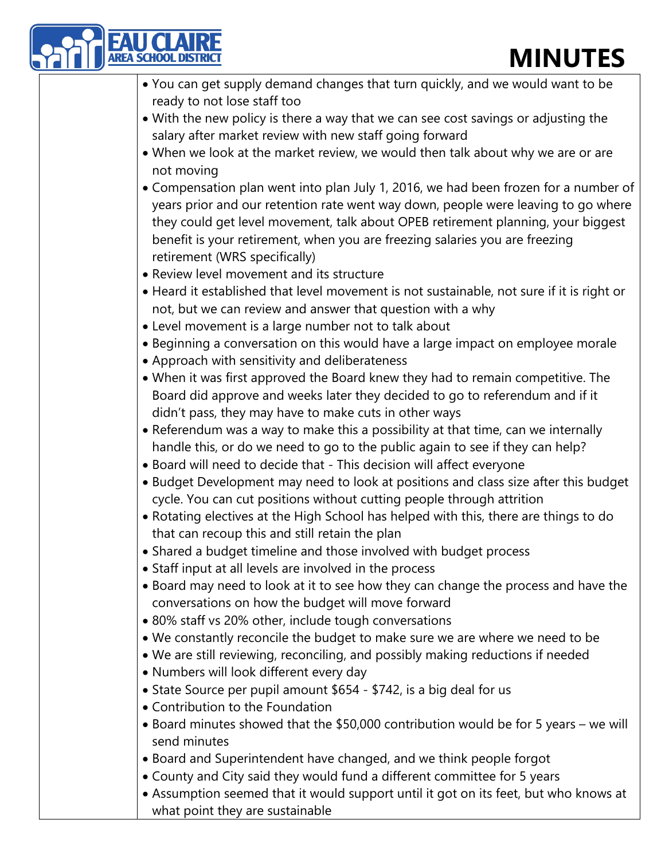| <b>MINUTES</b>                                                                                                                                                                                                                                                                        |
|---------------------------------------------------------------------------------------------------------------------------------------------------------------------------------------------------------------------------------------------------------------------------------------|
| . You can get supply demand changes that turn quickly, and we would want to be                                                                                                                                                                                                        |
| ready to not lose staff too                                                                                                                                                                                                                                                           |
| • With the new policy is there a way that we can see cost savings or adjusting the                                                                                                                                                                                                    |
| salary after market review with new staff going forward                                                                                                                                                                                                                               |
| . When we look at the market review, we would then talk about why we are or are                                                                                                                                                                                                       |
| not moving                                                                                                                                                                                                                                                                            |
| • Compensation plan went into plan July 1, 2016, we had been frozen for a number of                                                                                                                                                                                                   |
| years prior and our retention rate went way down, people were leaving to go where<br>they could get level movement, talk about OPEB retirement planning, your biggest<br>benefit is your retirement, when you are freezing salaries you are freezing<br>retirement (WRS specifically) |
| • Review level movement and its structure                                                                                                                                                                                                                                             |
| • Heard it established that level movement is not sustainable, not sure if it is right or                                                                                                                                                                                             |
| not, but we can review and answer that question with a why                                                                                                                                                                                                                            |
| • Level movement is a large number not to talk about                                                                                                                                                                                                                                  |
| • Beginning a conversation on this would have a large impact on employee morale                                                                                                                                                                                                       |
| • Approach with sensitivity and deliberateness                                                                                                                                                                                                                                        |
| • When it was first approved the Board knew they had to remain competitive. The<br>Board did approve and weeks later they decided to go to referendum and if it<br>didn't pass, they may have to make cuts in other ways                                                              |
| • Referendum was a way to make this a possibility at that time, can we internally                                                                                                                                                                                                     |
| handle this, or do we need to go to the public again to see if they can help?<br>. Board will need to decide that - This decision will affect everyone                                                                                                                                |
| • Budget Development may need to look at positions and class size after this budget                                                                                                                                                                                                   |
|                                                                                                                                                                                                                                                                                       |
| cycle. You can cut positions without cutting people through attrition                                                                                                                                                                                                                 |
| • Rotating electives at the High School has helped with this, there are things to do                                                                                                                                                                                                  |
| that can recoup this and still retain the plan                                                                                                                                                                                                                                        |
| • Shared a budget timeline and those involved with budget process                                                                                                                                                                                                                     |
| • Staff input at all levels are involved in the process                                                                                                                                                                                                                               |
| . Board may need to look at it to see how they can change the process and have the                                                                                                                                                                                                    |
| conversations on how the budget will move forward                                                                                                                                                                                                                                     |
| • 80% staff vs 20% other, include tough conversations                                                                                                                                                                                                                                 |
| • We constantly reconcile the budget to make sure we are where we need to be<br>. We are still reviewing, reconciling, and possibly making reductions if needed                                                                                                                       |
| • Numbers will look different every day                                                                                                                                                                                                                                               |
| • State Source per pupil amount \$654 - \$742, is a big deal for us                                                                                                                                                                                                                   |
| • Contribution to the Foundation                                                                                                                                                                                                                                                      |
| • Board minutes showed that the \$50,000 contribution would be for 5 years – we will<br>send minutes                                                                                                                                                                                  |
|                                                                                                                                                                                                                                                                                       |
| • Board and Superintendent have changed, and we think people forgot                                                                                                                                                                                                                   |
| • County and City said they would fund a different committee for 5 years                                                                                                                                                                                                              |
| • Assumption seemed that it would support until it got on its feet, but who knows at<br>what point they are sustainable                                                                                                                                                               |